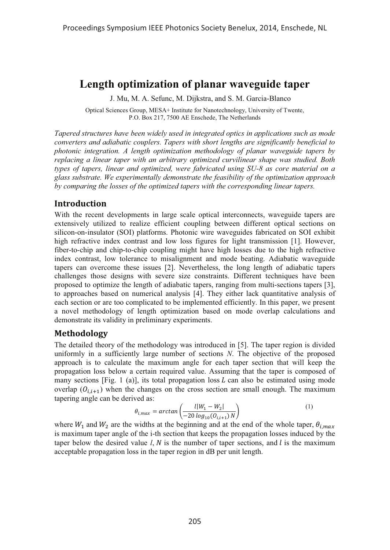# **Length optimization of planar waveguide taper**

J. Mu, M. A. Sefunc, M. Dijkstra, and S. M. Garcia-Blanco

Optical Sciences Group, MESA+ Institute for Nanotechnology, University of Twente, P.O. Box 217, 7500 AE Enschede, The Netherlands

*Tapered structures have been widely used in integrated optics in applications such as mode converters and adiabatic couplers. Tapers with short lengths are significantly beneficial to photonic integration. A length optimization methodology of planar waveguide tapers by replacing a linear taper with an arbitrary optimized curvilinear shape was studied. Both types of tapers, linear and optimized, were fabricated using SU-8 as core material on a glass substrate. We experimentally demonstrate the feasibility of the optimization approach by comparing the losses of the optimized tapers with the corresponding linear tapers.*

#### **Introduction**

With the recent developments in large scale optical interconnects, waveguide tapers are extensively utilized to realize efficient coupling between different optical sections on silicon-on-insulator (SOI) platforms. Photonic wire waveguides fabricated on SOI exhibit high refractive index contrast and low loss figures for light transmission [1]. However, fiber-to-chip and chip-to-chip coupling might have high losses due to the high refractive index contrast, low tolerance to misalignment and mode beating. Adiabatic waveguide tapers can overcome these issues [2]. Nevertheless, the long length of adiabatic tapers challenges those designs with severe size constraints. Different techniques have been proposed to optimize the length of adiabatic tapers, ranging from multi-sections tapers [3], to approaches based on numerical analysis [4]. They either lack quantitative analysis of each section or are too complicated to be implemented efficiently. In this paper, we present a novel methodology of length optimization based on mode overlap calculations and demonstrate its validity in preliminary experiments.

#### **Methodology**

The detailed theory of the methodology was introduced in [5]. The taper region is divided uniformly in a sufficiently large number of sections *N*. The objective of the proposed approach is to calculate the maximum angle for each taper section that will keep the propagation loss below a certain required value. Assuming that the taper is composed of many sections [Fig. 1 (a)], its total propagation loss  $L$  can also be estimated using mode overlap  $(O_{i,i+1})$  when the changes on the cross section are small enough. The maximum tapering angle can be derived as:

$$
\theta_{i,max} = \arctan\left(\frac{l|W_1 - W_2|}{-20\log_{10}(O_{i,i+1})N}\right)
$$
 (1)

where  $W_1$  and  $W_2$  are the widths at the beginning and at the end of the whole taper,  $\theta_{i,max}$ is maximum taper angle of the i-th section that keeps the propagation losses induced by the taper below the desired value  $l, N$  is the number of taper sections, and  $l$  is the maximum acceptable propagation loss in the taper region in dB per unit length.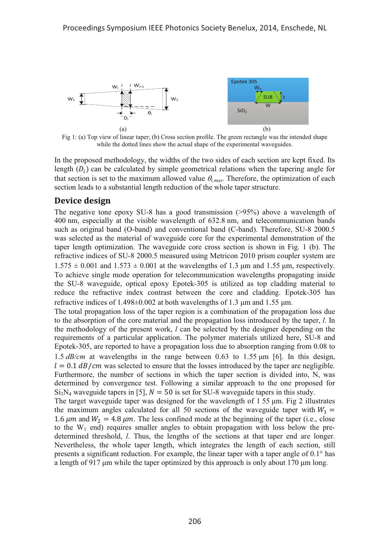

Fig 1: (a) Top view of linear taper; (b) Cross section profile. The green rectangle was the intended shape while the dotted lines show the actual shape of the experimental waveguides.

In the proposed methodology, the widths of the two sides of each section are kept fixed. Its length  $(D_i)$  can be calculated by simple geometrical relations when the tapering angle for that section is set to the maximum allowed value  $\theta_{i,max}$ . Therefore, the optimization of each section leads to a substantial length reduction of the whole taper structure.

# **Device design**

The negative tone epoxy SU-8 has a good transmission (>95%) above a wavelength of 400 nm, especially at the visible wavelength of 632.8 nm, and telecommunication bands such as original band (O-band) and conventional band (C-band). Therefore, SU-8 2000.5 was selected as the material of waveguide core for the experimental demonstration of the taper length optimization. The waveguide core cross section is shown in Fig. 1 (b). The refractive indices of SU-8 2000.5 measured using Metricon 2010 prism coupler system are  $1.575 \pm 0.001$  and  $1.573 \pm 0.001$  at the wavelengths of 1.3  $\mu$ m and 1.55  $\mu$ m, respectively. To achieve single mode operation for telecommunication wavelengths propagating inside the SU-8 waveguide, optical epoxy Epotek-305 is utilized as top cladding material to reduce the refractive index contrast between the core and cladding. Epotek-305 has refractive indices of  $1.498 \pm 0.002$  at both wavelengths of 1.3  $\mu$ m and 1.55  $\mu$ m.

The total propagation loss of the taper region is a combination of the propagation loss due to the absorption of the core material and the propagation loss introduced by the taper, *l*. In the methodology of the present work, *l* can be selected by the designer depending on the requirements of a particular application. The polymer materials utilized here, SU-8 and Epotek-305, are reported to have a propagation loss due to absorption ranging from 0.08 to 1.5  $dB/cm$  at wavelengths in the range between 0.63 to 1.55  $\mu$ m [6]. In this design,  $l = 0.1$  dB/cm was selected to ensure that the losses introduced by the taper are negligible. Furthermore, the number of sections in which the taper section is divided into, N, was determined by convergence test. Following a similar approach to the one proposed for  $Si<sub>3</sub>N<sub>4</sub>$  waveguide tapers in [5],  $N = 50$  is set for SU-8 waveguide tapers in this study.

The target waveguide taper was designed for the wavelength of  $1.55 \mu m$ . Fig 2 illustrates the maximum angles calculated for all 50 sections of the waveguide taper with  $W_1 =$ 1.6  $\mu$ m and  $W_2 = 4.8 \mu$ m. The less confined mode at the beginning of the taper (i.e., close to the  $W_1$  end) requires smaller angles to obtain propagation with loss below the predetermined threshold, *l*. Thus, the lengths of the sections at that taper end are longer. Nevertheless, the whole taper length, which integrates the length of each section, still presents a significant reduction. For example, the linear taper with a taper angle of 0.1° has a length of 917 µm while the taper optimized by this approach is only about 170 µm long.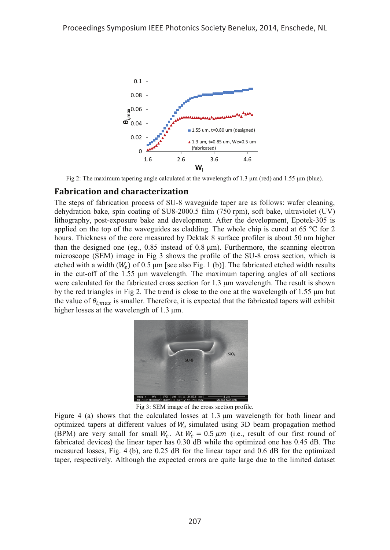

Fig 2: The maximum tapering angle calculated at the wavelength of 1.3  $\mu$ m (red) and 1.55  $\mu$ m (blue).

#### **Fabrication and characterization**

The steps of fabrication process of SU-8 waveguide taper are as follows: wafer cleaning, dehydration bake, spin coating of SU8-2000.5 film (750 rpm), soft bake, ultraviolet (UV) lithography, post-exposure bake and development. After the development, Epotek-305 is applied on the top of the waveguides as cladding. The whole chip is cured at 65  $\degree$ C for 2 hours. Thickness of the core measured by Dektak 8 surface profiler is about 50 nm higher than the designed one (eg.,  $0.85$  instead of  $0.8 \mu m$ ). Furthermore, the scanning electron microscope (SEM) image in Fig 3 shows the profile of the SU-8 cross section, which is etched with a width  $(W_e)$  of 0.5 µm [see also Fig. 1 (b)]. The fabricated etched width results in the cut-off of the  $1.55 \mu m$  wavelength. The maximum tapering angles of all sections were calculated for the fabricated cross section for 1.3 µm wavelength. The result is shown by the red triangles in Fig 2. The trend is close to the one at the wavelength of  $1.55 \mu m$  but the value of  $\theta_{i,max}$  is smaller. Therefore, it is expected that the fabricated tapers will exhibit higher losses at the wavelength of  $1.3 \mu m$ .



Fig 3: SEM image of the cross section profile.

Figure 4 (a) shows that the calculated losses at  $1.3 \mu m$  wavelength for both linear and optimized tapers at different values of  $W_e$  simulated using 3D beam propagation method (BPM) are very small for small  $W_e$ . At  $W_e = 0.5 \mu m$  (i.e., result of our first round of fabricated devices) the linear taper has 0.30 dB while the optimized one has 0.45 dB. The measured losses, Fig. 4 (b), are 0.25 dB for the linear taper and 0.6 dB for the optimized taper, respectively. Although the expected errors are quite large due to the limited dataset